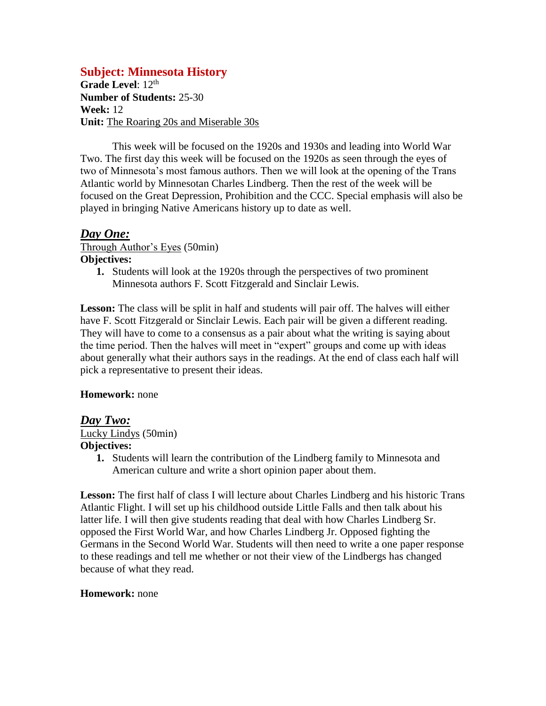# **Subject: Minnesota History**

Grade Level: 12<sup>th</sup> **Number of Students:** 25-30 **Week:** 12 **Unit:** The Roaring 20s and Miserable 30s

This week will be focused on the 1920s and 1930s and leading into World War Two. The first day this week will be focused on the 1920s as seen through the eyes of two of Minnesota's most famous authors. Then we will look at the opening of the Trans Atlantic world by Minnesotan Charles Lindberg. Then the rest of the week will be focused on the Great Depression, Prohibition and the CCC. Special emphasis will also be played in bringing Native Americans history up to date as well.

## *Day One:*

Through Author's Eyes (50min) **Objectives:**

> **1.** Students will look at the 1920s through the perspectives of two prominent Minnesota authors F. Scott Fitzgerald and Sinclair Lewis.

**Lesson:** The class will be split in half and students will pair off. The halves will either have F. Scott Fitzgerald or Sinclair Lewis. Each pair will be given a different reading. They will have to come to a consensus as a pair about what the writing is saying about the time period. Then the halves will meet in "expert" groups and come up with ideas about generally what their authors says in the readings. At the end of class each half will pick a representative to present their ideas.

### **Homework:** none

### *Day Two:*

Lucky Lindys (50min) **Objectives:**

> **1.** Students will learn the contribution of the Lindberg family to Minnesota and American culture and write a short opinion paper about them.

**Lesson:** The first half of class I will lecture about Charles Lindberg and his historic Trans Atlantic Flight. I will set up his childhood outside Little Falls and then talk about his latter life. I will then give students reading that deal with how Charles Lindberg Sr. opposed the First World War, and how Charles Lindberg Jr. Opposed fighting the Germans in the Second World War. Students will then need to write a one paper response to these readings and tell me whether or not their view of the Lindbergs has changed because of what they read.

#### **Homework:** none